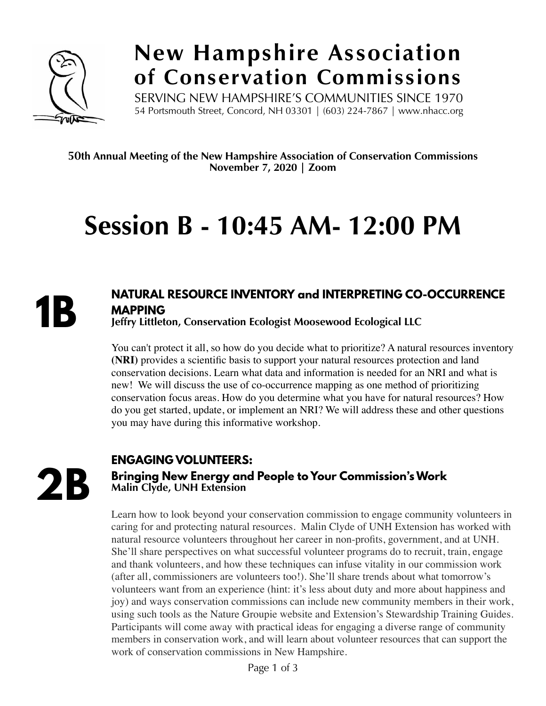

### **New Hampshire Association of Conservation Commissions**

SERVING NEW HAMPSHIRE'S COMMUNITIES SINCE 1970 54 Portsmouth Street, Concord, NH 03301 | (603) 224-7867 | www.nhacc.org

50**th Annual Meeting of the New Hampshire Association of Conservation Commissions November 7, 2020 | Zoom** 

## **Session B - 10:45 AM- 12:00 PM**



#### **NATURAL RESOURCE INVENTORY and INTERPRETING CO-OCCURRENCE MAPPING**

**Jeffry Littleton, Conservation Ecologist Moosewood Ecological LLC** 

You can't protect it all, so how do you decide what to prioritize? A natural resources inventory **(NRI)** provides a scientific basis to support your natural resources protection and land conservation decisions. Learn what data and information is needed for an NRI and what is new! We will discuss the use of co-occurrence mapping as one method of prioritizing conservation focus areas. How do you determine what you have for natural resources? How do you get started, update, or implement an NRI? We will address these and other questions you may have during this informative workshop.

**2B**

#### **ENGAGING VOLUNTEERS:**

#### **Bringing New Energy and People to Your Commission's Work Malin Clyde, UNH Extension**

Learn how to look beyond your conservation commission to engage community volunteers in caring for and protecting natural resources. Malin Clyde of UNH Extension has worked with natural resource volunteers throughout her career in non-profits, government, and at UNH. She'll share perspectives on what successful volunteer programs do to recruit, train, engage and thank volunteers, and how these techniques can infuse vitality in our commission work (after all, commissioners are volunteers too!). She'll share trends about what tomorrow's volunteers want from an experience (hint: it's less about duty and more about happiness and joy) and ways conservation commissions can include new community members in their work, using such tools as the Nature Groupie website and Extension's Stewardship Training Guides. Participants will come away with practical ideas for engaging a diverse range of community members in conservation work, and will learn about volunteer resources that can support the work of conservation commissions in New Hampshire.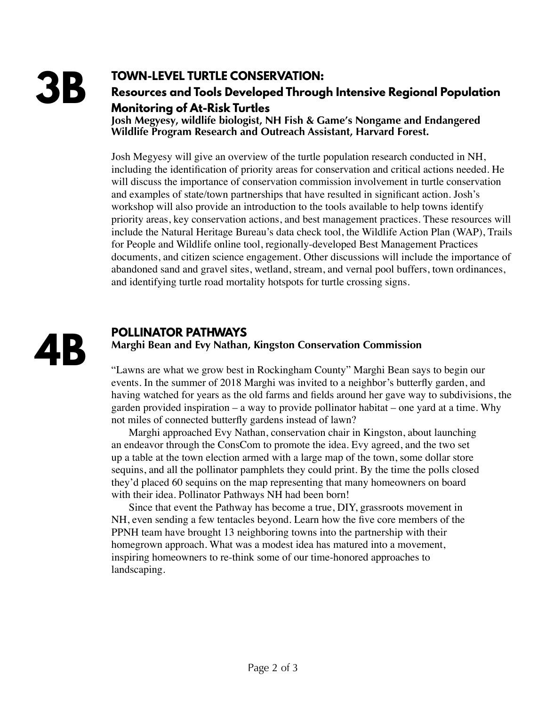#### **TOWN-LEVEL TURTLE CONSERVATION:**

**Resources and Tools Developed Through Intensive Regional Population Monitoring of At-Risk Turtles** 

**Josh Megyesy, wildlife biologist, NH Fish & Game's Nongame and Endangered Wildlife Program Research and Outreach Assistant, Harvard Forest.**

Josh Megyesy will give an overview of the turtle population research conducted in NH, including the identification of priority areas for conservation and critical actions needed. He will discuss the importance of conservation commission involvement in turtle conservation and examples of state/town partnerships that have resulted in significant action. Josh's workshop will also provide an introduction to the tools available to help towns identify priority areas, key conservation actions, and best management practices. These resources will include the Natural Heritage Bureau's data check tool, the Wildlife Action Plan (WAP), Trails for People and Wildlife online tool, regionally-developed Best Management Practices documents, and citizen science engagement. Other discussions will include the importance of abandoned sand and gravel sites, wetland, stream, and vernal pool buffers, town ordinances, and identifying turtle road mortality hotspots for turtle crossing signs.



#### **POLLINATOR PATHWAYS**

#### **Marghi Bean and Evy Nathan, Kingston Conservation Commission**

"Lawns are what we grow best in Rockingham County" Marghi Bean says to begin our events. In the summer of 2018 Marghi was invited to a neighbor's butterfly garden, and having watched for years as the old farms and fields around her gave way to subdivisions, the garden provided inspiration – a way to provide pollinator habitat – one yard at a time. Why not miles of connected butterfly gardens instead of lawn?

Marghi approached Evy Nathan, conservation chair in Kingston, about launching an endeavor through the ConsCom to promote the idea. Evy agreed, and the two set up a table at the town election armed with a large map of the town, some dollar store sequins, and all the pollinator pamphlets they could print. By the time the polls closed they'd placed 60 sequins on the map representing that many homeowners on board with their idea. Pollinator Pathways NH had been born!

Since that event the Pathway has become a true, DIY, grassroots movement in NH, even sending a few tentacles beyond. Learn how the five core members of the PPNH team have brought 13 neighboring towns into the partnership with their homegrown approach. What was a modest idea has matured into a movement, inspiring homeowners to re-think some of our time-honored approaches to landscaping.